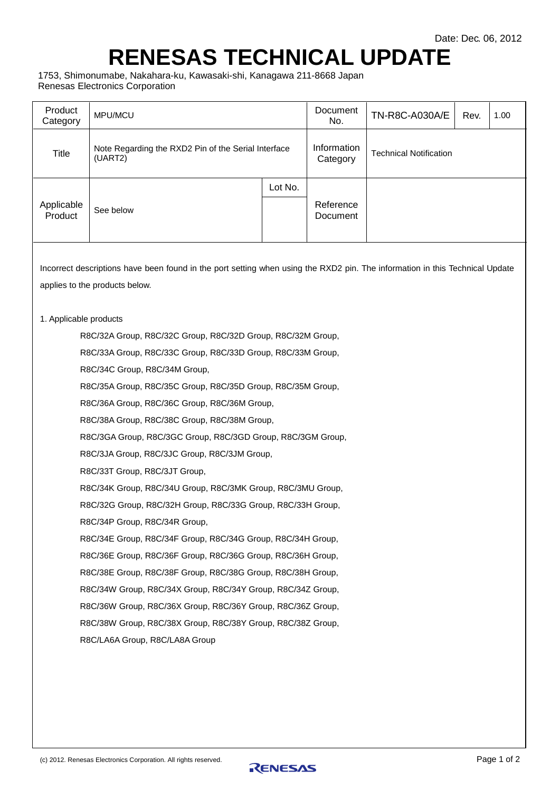## **RENESAS TECHNICAL UPDATE**

1753, Shimonumabe, Nakahara-ku, Kawasaki-shi, Kanagawa 211-8668 Japan Renesas Electronics Corporation

| Product<br>Category                                                                                                                                            | MPU/MCU                                                        | Document<br>No.         | TN-R8C-A030A/E<br>1.00<br>Rev. |  |  |  |  |  |  |  |
|----------------------------------------------------------------------------------------------------------------------------------------------------------------|----------------------------------------------------------------|-------------------------|--------------------------------|--|--|--|--|--|--|--|
| Title                                                                                                                                                          | Note Regarding the RXD2 Pin of the Serial Interface<br>(UART2) | Information<br>Category | <b>Technical Notification</b>  |  |  |  |  |  |  |  |
|                                                                                                                                                                |                                                                | Lot No.                 |                                |  |  |  |  |  |  |  |
| Applicable<br>Product                                                                                                                                          | See below                                                      |                         | Reference<br>Document          |  |  |  |  |  |  |  |
| Incorrect descriptions have been found in the port setting when using the RXD2 pin. The information in this Technical Update<br>applies to the products below. |                                                                |                         |                                |  |  |  |  |  |  |  |
|                                                                                                                                                                | 1. Applicable products                                         |                         |                                |  |  |  |  |  |  |  |
| R8C/32A Group, R8C/32C Group, R8C/32D Group, R8C/32M Group,                                                                                                    |                                                                |                         |                                |  |  |  |  |  |  |  |
| R8C/33A Group, R8C/33C Group, R8C/33D Group, R8C/33M Group,                                                                                                    |                                                                |                         |                                |  |  |  |  |  |  |  |
| R8C/34C Group, R8C/34M Group,                                                                                                                                  |                                                                |                         |                                |  |  |  |  |  |  |  |
| R8C/35A Group, R8C/35C Group, R8C/35D Group, R8C/35M Group,                                                                                                    |                                                                |                         |                                |  |  |  |  |  |  |  |
| R8C/36A Group, R8C/36C Group, R8C/36M Group,                                                                                                                   |                                                                |                         |                                |  |  |  |  |  |  |  |
| R8C/38A Group, R8C/38C Group, R8C/38M Group,                                                                                                                   |                                                                |                         |                                |  |  |  |  |  |  |  |
| R8C/3GA Group, R8C/3GC Group, R8C/3GD Group, R8C/3GM Group,                                                                                                    |                                                                |                         |                                |  |  |  |  |  |  |  |
| R8C/3JA Group, R8C/3JC Group, R8C/3JM Group,                                                                                                                   |                                                                |                         |                                |  |  |  |  |  |  |  |
|                                                                                                                                                                | R8C/33T Group, R8C/3JT Group,                                  |                         |                                |  |  |  |  |  |  |  |
|                                                                                                                                                                | R8C/34K Group, R8C/34U Group, R8C/3MK Group, R8C/3MU Group,    |                         |                                |  |  |  |  |  |  |  |
| R8C/32G Group, R8C/32H Group, R8C/33G Group, R8C/33H Group,                                                                                                    |                                                                |                         |                                |  |  |  |  |  |  |  |
| R8C/34P Group, R8C/34R Group,                                                                                                                                  |                                                                |                         |                                |  |  |  |  |  |  |  |
| R8C/34E Group, R8C/34F Group, R8C/34G Group, R8C/34H Group,                                                                                                    |                                                                |                         |                                |  |  |  |  |  |  |  |
| R8C/36E Group, R8C/36F Group, R8C/36G Group, R8C/36H Group,                                                                                                    |                                                                |                         |                                |  |  |  |  |  |  |  |
| R8C/38E Group, R8C/38F Group, R8C/38G Group, R8C/38H Group,                                                                                                    |                                                                |                         |                                |  |  |  |  |  |  |  |
|                                                                                                                                                                | R8C/34W Group, R8C/34X Group, R8C/34Y Group, R8C/34Z Group,    |                         |                                |  |  |  |  |  |  |  |
|                                                                                                                                                                | R8C/36W Group, R8C/36X Group, R8C/36Y Group, R8C/36Z Group,    |                         |                                |  |  |  |  |  |  |  |
|                                                                                                                                                                | R8C/38W Group, R8C/38X Group, R8C/38Y Group, R8C/38Z Group,    |                         |                                |  |  |  |  |  |  |  |
|                                                                                                                                                                | R8C/LA6A Group, R8C/LA8A Group                                 |                         |                                |  |  |  |  |  |  |  |
|                                                                                                                                                                |                                                                |                         |                                |  |  |  |  |  |  |  |